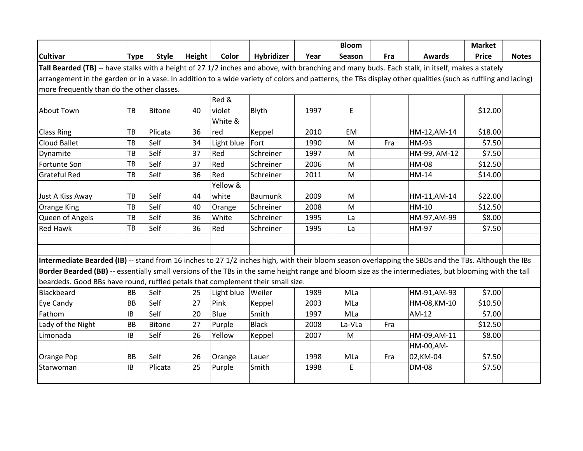|                                                                                                                                                             |             |               |        |            |                   |      | <b>Bloom</b> |     |               | <b>Market</b> |              |
|-------------------------------------------------------------------------------------------------------------------------------------------------------------|-------------|---------------|--------|------------|-------------------|------|--------------|-----|---------------|---------------|--------------|
| <b>Cultivar</b>                                                                                                                                             | <b>Type</b> | <b>Style</b>  | Height | Color      | <b>Hybridizer</b> | Year | Season       | Fra | <b>Awards</b> | <b>Price</b>  | <b>Notes</b> |
| Tall Bearded (TB) -- have stalks with a height of 27 1/2 inches and above, with branching and many buds. Each stalk, in itself, makes a stately             |             |               |        |            |                   |      |              |     |               |               |              |
| arrangement in the garden or in a vase. In addition to a wide variety of colors and patterns, the TBs display other qualities (such as ruffling and lacing) |             |               |        |            |                   |      |              |     |               |               |              |
| more frequently than do the other classes.                                                                                                                  |             |               |        |            |                   |      |              |     |               |               |              |
|                                                                                                                                                             |             |               |        | Red &      |                   |      |              |     |               |               |              |
| About Town                                                                                                                                                  | TB          | <b>Bitone</b> | 40     | violet     | Blyth             | 1997 | E            |     |               | \$12.00       |              |
|                                                                                                                                                             |             |               |        | White &    |                   |      |              |     |               |               |              |
| <b>Class Ring</b>                                                                                                                                           | TB          | Plicata       | 36     | red        | Keppel            | 2010 | EM           |     | HM-12, AM-14  | \$18.00       |              |
| Cloud Ballet                                                                                                                                                | TB          | Self          | 34     | Light blue | Fort              | 1990 | M            | Fra | HM-93         | \$7.50        |              |
| Dynamite                                                                                                                                                    | TB          | Self          | 37     | Red        | Schreiner         | 1997 | M            |     | HM-99, AM-12  | \$7.50        |              |
| Fortunte Son                                                                                                                                                | TB          | Self          | 37     | Red        | Schreiner         | 2006 | M            |     | HM-08         | \$12.50       |              |
| <b>Grateful Red</b>                                                                                                                                         | TB          | Self          | 36     | Red        | Schreiner         | 2011 | M            |     | HM-14         | \$14.00       |              |
|                                                                                                                                                             |             |               |        | Yellow &   |                   |      |              |     |               |               |              |
| Just A Kiss Away                                                                                                                                            | TB          | Self          | 44     | white      | <b>Baumunk</b>    | 2009 | M            |     | HM-11, AM-14  | \$22.00       |              |
| <b>Orange King</b>                                                                                                                                          | TB          | Self          | 40     | Orange     | Schreiner         | 2008 | M            |     | HM-10         | \$12.50       |              |
| Queen of Angels                                                                                                                                             | TB          | Self          | 36     | White      | Schreiner         | 1995 | La           |     | HM-97, AM-99  | \$8.00        |              |
| <b>Red Hawk</b>                                                                                                                                             | TB          | Self          | 36     | Red        | Schreiner         | 1995 | La           |     | <b>HM-97</b>  | \$7.50        |              |
|                                                                                                                                                             |             |               |        |            |                   |      |              |     |               |               |              |
|                                                                                                                                                             |             |               |        |            |                   |      |              |     |               |               |              |
| Intermediate Bearded (IB) -- stand from 16 inches to 27 1/2 inches high, with their bloom season overlapping the SBDs and the TBs. Although the IBs         |             |               |        |            |                   |      |              |     |               |               |              |
| Border Bearded (BB) -- essentially small versions of the TBs in the same height range and bloom size as the intermediates, but blooming with the tall       |             |               |        |            |                   |      |              |     |               |               |              |
| beardeds. Good BBs have round, ruffled petals that complement their small size.                                                                             |             |               |        |            |                   |      |              |     |               |               |              |
| Blackbeard                                                                                                                                                  | <b>BB</b>   | Self          | 25     | Light blue | Weiler            | 1989 | MLa          |     | HM-91, AM-93  | \$7.00        |              |
| Eye Candy                                                                                                                                                   | <b>BB</b>   | Self          | 27     | Pink       | Keppel            | 2003 | MLa          |     | HM-08, KM-10  | \$10.50       |              |
| Fathom                                                                                                                                                      | IB          | Self          | 20     | Blue       | Smith             | 1997 | MLa          |     | AM-12         | \$7.00        |              |
| Lady of the Night                                                                                                                                           | <b>BB</b>   | <b>Bitone</b> | 27     | Purple     | <b>Black</b>      | 2008 | La-VLa       | Fra |               | \$12.50       |              |
| Limonada                                                                                                                                                    | IB          | Self          | 26     | Yellow     | Keppel            | 2007 | M            |     | HM-09, AM-11  | \$8.00        |              |
|                                                                                                                                                             |             |               |        |            |                   |      |              |     | HM-00, AM-    |               |              |
| Orange Pop                                                                                                                                                  | BB          | Self          | 26     | Orange     | Lauer             | 1998 | MLa          | Fra | 02, KM-04     | \$7.50        |              |
| Starwoman                                                                                                                                                   | IB          | Plicata       | 25     | Purple     | Smith             | 1998 | E            |     | <b>DM-08</b>  | \$7.50        |              |